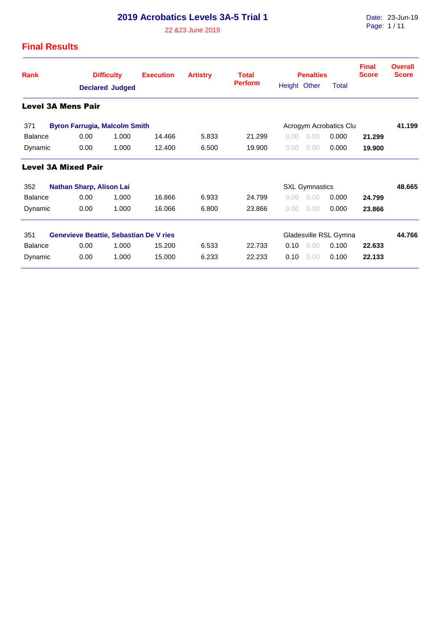22 &23 June 2019

Date: 23-Jun-19 Page: 1 / 11

| <b>Rank</b>    |                                 | <b>Difficulty</b> |                                      | <b>Execution</b>                              | <b>Artistry</b> | <b>Total</b>           |              | <b>Penalties</b>      |                       | <b>Final</b><br><b>Score</b> | <b>Overall</b><br><b>Score</b> |
|----------------|---------------------------------|-------------------|--------------------------------------|-----------------------------------------------|-----------------|------------------------|--------------|-----------------------|-----------------------|------------------------------|--------------------------------|
|                |                                 |                   | <b>Declared Judged</b>               |                                               |                 | <b>Perform</b>         | Height Other |                       | Total                 |                              |                                |
|                | <b>Level 3A Mens Pair</b>       |                   |                                      |                                               |                 |                        |              |                       |                       |                              |                                |
| 371            |                                 |                   | <b>Byron Farrugia, Malcolm Smith</b> |                                               |                 | Acrogym Acrobatics Clu |              |                       |                       |                              |                                |
| <b>Balance</b> |                                 | 0.00              | 1.000                                | 14.466                                        | 5.833           | 21.299                 | 0.00         | 0.00                  | 0.000                 | 21.299                       |                                |
| Dynamic        |                                 | 0.00              | 1.000                                | 12.400                                        | 6.500           | 19.900                 | 0.00         | 0.00                  | 0.000                 | 19.900                       |                                |
|                | <b>Level 3A Mixed Pair</b>      |                   |                                      |                                               |                 |                        |              |                       |                       |                              |                                |
| 352            | <b>Nathan Sharp, Alison Lai</b> |                   |                                      |                                               |                 |                        |              | <b>SXL Gymnastics</b> |                       |                              | 48.665                         |
| <b>Balance</b> |                                 | 0.00              | 1.000                                | 16.866                                        | 6.933           | 24.799                 | 0.00         | 0.00                  | 0.000                 | 24.799                       |                                |
| Dynamic        |                                 | 0.00              | 1.000                                | 16.066                                        | 6.800           | 23.866                 | 0.00         | 0.00                  | 0.000                 | 23.866                       |                                |
| 351            |                                 |                   |                                      | <b>Genevieve Beattie, Sebastian De V ries</b> |                 |                        |              |                       | Gladesville RSL Gymna |                              | 44.766                         |
| <b>Balance</b> |                                 | 0.00              | 1.000                                | 15.200                                        | 6.533           | 22.733                 | 0.10         | 0.00                  | 0.100                 | 22.633                       |                                |
| Dynamic        |                                 | 0.00              | 1.000                                | 15.000                                        | 6.233           | 22.233                 | 0.10         | 0.00                  | 0.100                 | 22.133                       |                                |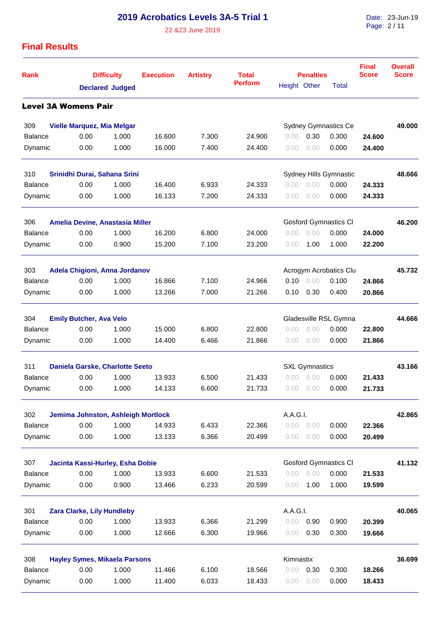22 &23 June 2019

Date: 23-Jun-19 Page: 2 / 11

| <b>Rank</b>                             |                                      | <b>Difficulty</b><br><b>Declared Judged</b> |        | <b>Artistry</b> | <b>Total</b><br>Perform | <b>Penalties</b><br>Height Other<br><b>Total</b> |                       |                               | <b>Final</b><br><b>Score</b> | Overall<br><b>Score</b> |
|-----------------------------------------|--------------------------------------|---------------------------------------------|--------|-----------------|-------------------------|--------------------------------------------------|-----------------------|-------------------------------|------------------------------|-------------------------|
|                                         |                                      |                                             |        |                 |                         |                                                  |                       |                               |                              |                         |
|                                         | <b>Level 3A Womens Pair</b>          |                                             |        |                 |                         |                                                  |                       |                               |                              |                         |
| 309                                     | <b>Vielle Marquez, Mia Melgar</b>    |                                             |        |                 |                         |                                                  |                       | <b>Sydney Gymnastics Ce</b>   |                              | 49.000                  |
| <b>Balance</b>                          | 0.00                                 | 1.000                                       | 16.600 | 7.300           | 24.900                  | 0.00                                             | 0.30                  | 0.300                         | 24.600                       |                         |
| Dynamic                                 | 0.00                                 | 1.000                                       | 16.000 | 7.400           | 24.400                  | $0.00^{\circ}$                                   | 0.00                  | 0.000                         | 24.400                       |                         |
| 310                                     | Srinidhi Durai, Sahana Srini         |                                             |        |                 |                         |                                                  |                       | <b>Sydney Hills Gymnastic</b> |                              | 48.666                  |
| <b>Balance</b>                          | 0.00                                 | 1.000                                       | 16.400 | 6.933           | 24.333                  | 0.00                                             | 0.00                  | 0.000                         | 24.333                       |                         |
| Dynamic                                 | 0.00                                 | 1.000                                       | 16.133 | 7.200           | 24.333                  | 0.00                                             | 0.00                  | 0.000                         | 24.333                       |                         |
| 306                                     | Amelia Devine, Anastasia Miller      |                                             |        |                 |                         |                                                  |                       | <b>Gosford Gymnastics CI</b>  |                              | 46.200                  |
| <b>Balance</b>                          | 0.00                                 | 1.000                                       | 16.200 | 6.800           | 24.000                  | 0.00                                             | 0.00                  | 0.000                         | 24.000                       |                         |
| Dynamic                                 | 0.00                                 | 0.900                                       | 15.200 | 7.100           | 23.200                  | 0.00                                             | 1.00                  | 1.000                         | 22.200                       |                         |
| 303                                     | Adela Chigioni, Anna Jordanov        |                                             |        |                 |                         |                                                  |                       | Acrogym Acrobatics Clu        |                              | 45.732                  |
| <b>Balance</b>                          | 0.00                                 | 1.000                                       | 16.866 | 7.100           | 24.966                  | 0.10                                             | 0.00                  | 0.100                         | 24.866                       |                         |
| Dynamic                                 | 0.00                                 | 1.000                                       | 13.266 | 7.000           | 21.266                  | 0.10                                             | 0.30                  | 0.400                         | 20.866                       |                         |
| 304                                     | <b>Emily Butcher, Ava Velo</b>       |                                             |        |                 |                         |                                                  | Gladesville RSL Gymna |                               | 44.666                       |                         |
| <b>Balance</b>                          | 0.00                                 | 1.000                                       | 15.000 | 6.800           | 22.800                  | 0.00                                             | 0.00                  | 0.000                         | 22,800                       |                         |
| Dynamic                                 | 0.00                                 | 1.000                                       | 14.400 | 6.466           | 21.866                  | 0.00                                             | 0.00                  | 0.000                         | 21.866                       |                         |
| 311                                     | Daniela Garske, Charlotte Seeto      |                                             |        |                 |                         |                                                  | <b>SXL Gymnastics</b> |                               |                              | 43.166                  |
| <b>Balance</b>                          | 0.00                                 | 1.000                                       | 13.933 | 6.500           | 21.433                  | 0.00                                             | 0.00                  | 0.000                         | 21.433                       |                         |
| Dynamic                                 | 0.00                                 | 1.000                                       | 14.133 | 6.600           | 21.733                  | 0.00                                             | 0.00                  | 0.000                         | 21.733                       |                         |
| 302                                     | Jemima Johnston, Ashleigh Mortlock   |                                             |        |                 |                         | A.A.G.I.                                         |                       |                               |                              | 42.865                  |
| <b>Balance</b>                          | 0.00                                 | 1.000                                       | 14.933 | 6.433           | 22.366                  | 0.00                                             | 0.00                  | 0.000                         | 22.366                       |                         |
| Dynamic                                 | 0.00                                 | 1.000                                       | 13.133 | 6.366           | 20.499                  | 0.00                                             | 0.00                  | 0.000                         | 20.499                       |                         |
| 307<br>Jacinta Kassi-Hurley, Esha Dobie |                                      |                                             |        |                 |                         |                                                  |                       | <b>Gosford Gymnastics CI</b>  |                              | 41.132                  |
| <b>Balance</b>                          | 0.00                                 | 1.000                                       | 13.933 | 6.600           | 21.533                  | 0.00                                             | 0.00                  | 0.000                         | 21.533                       |                         |
| Dynamic                                 | 0.00                                 | 0.900                                       | 13.466 | 6.233           | 20.599                  | 0.00                                             | 1.00                  | 1.000                         | 19.599                       |                         |
| 301                                     | Zara Clarke, Lily Hundleby           |                                             |        |                 |                         | A.A.G.I.                                         |                       |                               |                              | 40.065                  |
| <b>Balance</b>                          | 0.00                                 | 1.000                                       | 13.933 | 6.366           | 21.299                  | 0.00                                             | 0.90                  | 0.900                         | 20.399                       |                         |
| Dynamic                                 | 0.00                                 | 1.000                                       | 12.666 | 6.300           | 19.966                  | 0.00                                             | 0.30                  | 0.300                         | 19.666                       |                         |
| 308                                     | <b>Hayley Symes, Mikaela Parsons</b> |                                             |        |                 |                         | Kimnastix                                        |                       |                               |                              | 36.699                  |
| <b>Balance</b>                          | 0.00                                 | 1.000                                       | 11.466 | 6.100           | 18.566                  | 0.00                                             | 0.30                  | 0.300                         | 18.266                       |                         |
| Dynamic                                 | 0.00                                 | 1.000                                       | 11.400 | 6.033           | 18.433                  | 0.00                                             | 0.00                  | 0.000                         | 18.433                       |                         |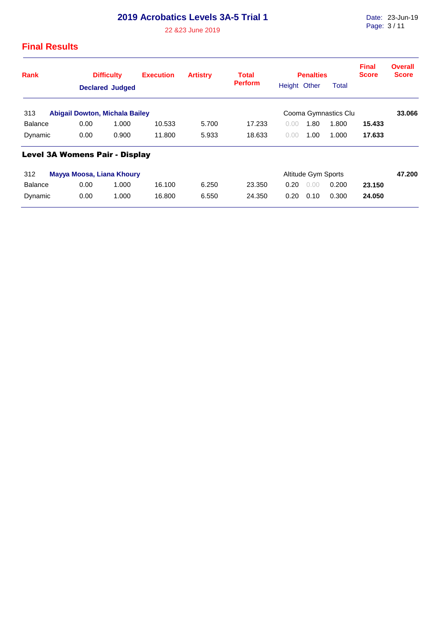22 &23 June 2019

| <b>Rank</b>                                  | <b>Difficulty</b>                     |       | <b>Execution</b> | <b>Artistry</b> | Total          |              | <b>Penalties</b>     |       | <b>Final</b><br><b>Score</b> | <b>Overall</b><br><b>Score</b> |
|----------------------------------------------|---------------------------------------|-------|------------------|-----------------|----------------|--------------|----------------------|-------|------------------------------|--------------------------------|
|                                              | <b>Declared Judged</b>                |       |                  |                 | <b>Perform</b> | Height Other |                      | Total |                              |                                |
| 313<br><b>Abigail Dowton, Michala Bailey</b> |                                       |       |                  |                 |                |              | Cooma Gymnastics Clu |       | 33.066                       |                                |
| Balance                                      | 0.00                                  | 1.000 | 10.533           | 5.700           | 17.233         | 0.00         | 1.80                 | 1.800 | 15.433                       |                                |
| Dynamic                                      | 0.00                                  | 0.900 | 11.800           | 5.933           | 18.633         | 0.00         | 1.00                 | 1.000 | 17.633                       |                                |
|                                              | <b>Level 3A Womens Pair - Display</b> |       |                  |                 |                |              |                      |       |                              |                                |
| 312                                          | Mayya Moosa, Liana Khoury             |       |                  |                 |                |              | Altitude Gym Sports  |       |                              | 47.200                         |
| <b>Balance</b>                               | 0.00                                  | 1.000 | 16.100           | 6.250           | 23.350         | 0.20         | 0.00                 | 0.200 | 23.150                       |                                |
| Dynamic                                      | 0.00                                  | 1.000 | 16,800           | 6.550           | 24.350         | 0.20         | 0.10                 | 0.300 | 24.050                       |                                |